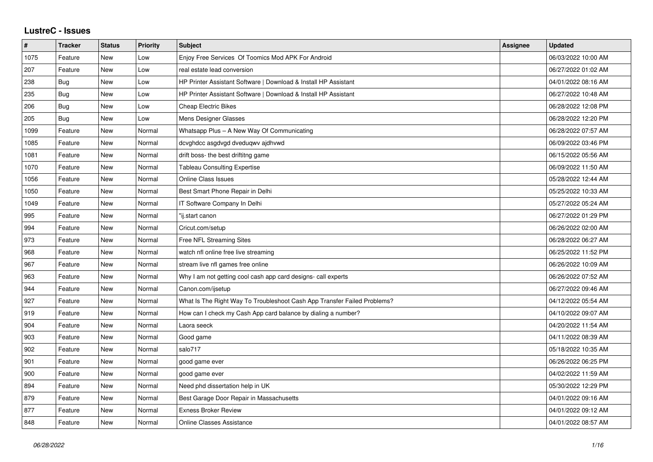## **LustreC - Issues**

| #    | <b>Tracker</b> | <b>Status</b> | <b>Priority</b> | <b>Subject</b>                                                           | <b>Assignee</b> | <b>Updated</b>      |
|------|----------------|---------------|-----------------|--------------------------------------------------------------------------|-----------------|---------------------|
| 1075 | Feature        | <b>New</b>    | Low             | Enjoy Free Services Of Toomics Mod APK For Android                       |                 | 06/03/2022 10:00 AM |
| 207  | Feature        | <b>New</b>    | Low             | real estate lead conversion                                              |                 | 06/27/2022 01:02 AM |
| 238  | Bug            | New           | Low             | HP Printer Assistant Software   Download & Install HP Assistant          |                 | 04/01/2022 08:16 AM |
| 235  | <b>Bug</b>     | <b>New</b>    | Low             | HP Printer Assistant Software   Download & Install HP Assistant          |                 | 06/27/2022 10:48 AM |
| 206  | Bug            | <b>New</b>    | Low             | <b>Cheap Electric Bikes</b>                                              |                 | 06/28/2022 12:08 PM |
| 205  | Bug            | New           | Low             | Mens Designer Glasses                                                    |                 | 06/28/2022 12:20 PM |
| 1099 | Feature        | <b>New</b>    | Normal          | Whatsapp Plus - A New Way Of Communicating                               |                 | 06/28/2022 07:57 AM |
| 1085 | Feature        | New           | Normal          | dcvghdcc asgdvgd dveduqwv ajdhvwd                                        |                 | 06/09/2022 03:46 PM |
| 1081 | Feature        | <b>New</b>    | Normal          | drift boss- the best driftitng game                                      |                 | 06/15/2022 05:56 AM |
| 1070 | Feature        | <b>New</b>    | Normal          | <b>Tableau Consulting Expertise</b>                                      |                 | 06/09/2022 11:50 AM |
| 1056 | Feature        | New           | Normal          | <b>Online Class Issues</b>                                               |                 | 05/28/2022 12:44 AM |
| 1050 | Feature        | <b>New</b>    | Normal          | Best Smart Phone Repair in Delhi                                         |                 | 05/25/2022 10:33 AM |
| 1049 | Feature        | <b>New</b>    | Normal          | IT Software Company In Delhi                                             |                 | 05/27/2022 05:24 AM |
| 995  | Feature        | New           | Normal          | "ij.start canon                                                          |                 | 06/27/2022 01:29 PM |
| 994  | Feature        | <b>New</b>    | Normal          | Cricut.com/setup                                                         |                 | 06/26/2022 02:00 AM |
| 973  | Feature        | <b>New</b>    | Normal          | Free NFL Streaming Sites                                                 |                 | 06/28/2022 06:27 AM |
| 968  | Feature        | New           | Normal          | watch nfl online free live streaming                                     |                 | 06/25/2022 11:52 PM |
| 967  | Feature        | New           | Normal          | stream live nfl games free online                                        |                 | 06/26/2022 10:09 AM |
| 963  | Feature        | <b>New</b>    | Normal          | Why I am not getting cool cash app card designs- call experts            |                 | 06/26/2022 07:52 AM |
| 944  | Feature        | <b>New</b>    | Normal          | Canon.com/ijsetup                                                        |                 | 06/27/2022 09:46 AM |
| 927  | Feature        | New           | Normal          | What Is The Right Way To Troubleshoot Cash App Transfer Failed Problems? |                 | 04/12/2022 05:54 AM |
| 919  | Feature        | New           | Normal          | How can I check my Cash App card balance by dialing a number?            |                 | 04/10/2022 09:07 AM |
| 904  | Feature        | <b>New</b>    | Normal          | Laora seeck                                                              |                 | 04/20/2022 11:54 AM |
| 903  | Feature        | New           | Normal          | Good game                                                                |                 | 04/11/2022 08:39 AM |
| 902  | Feature        | <b>New</b>    | Normal          | salo717                                                                  |                 | 05/18/2022 10:35 AM |
| 901  | Feature        | <b>New</b>    | Normal          | good game ever                                                           |                 | 06/26/2022 06:25 PM |
| 900  | Feature        | New           | Normal          | good game ever                                                           |                 | 04/02/2022 11:59 AM |
| 894  | Feature        | New           | Normal          | Need phd dissertation help in UK                                         |                 | 05/30/2022 12:29 PM |
| 879  | Feature        | New           | Normal          | Best Garage Door Repair in Massachusetts                                 |                 | 04/01/2022 09:16 AM |
| 877  | Feature        | New           | Normal          | <b>Exness Broker Review</b>                                              |                 | 04/01/2022 09:12 AM |
| 848  | Feature        | New           | Normal          | <b>Online Classes Assistance</b>                                         |                 | 04/01/2022 08:57 AM |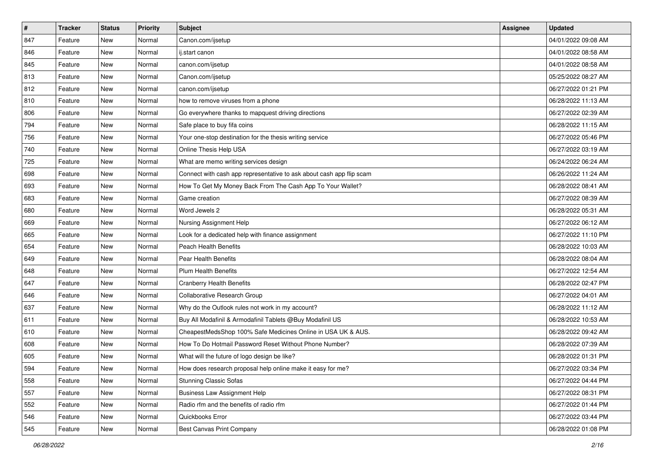| $\sharp$ | <b>Tracker</b> | <b>Status</b> | <b>Priority</b> | <b>Subject</b>                                                       | Assignee | <b>Updated</b>      |
|----------|----------------|---------------|-----------------|----------------------------------------------------------------------|----------|---------------------|
| 847      | Feature        | New           | Normal          | Canon.com/ijsetup                                                    |          | 04/01/2022 09:08 AM |
| 846      | Feature        | New           | Normal          | ij.start canon                                                       |          | 04/01/2022 08:58 AM |
| 845      | Feature        | New           | Normal          | canon.com/ijsetup                                                    |          | 04/01/2022 08:58 AM |
| 813      | Feature        | New           | Normal          | Canon.com/ijsetup                                                    |          | 05/25/2022 08:27 AM |
| 812      | Feature        | New           | Normal          | canon.com/ijsetup                                                    |          | 06/27/2022 01:21 PM |
| 810      | Feature        | New           | Normal          | how to remove viruses from a phone                                   |          | 06/28/2022 11:13 AM |
| 806      | Feature        | New           | Normal          | Go everywhere thanks to mapquest driving directions                  |          | 06/27/2022 02:39 AM |
| 794      | Feature        | New           | Normal          | Safe place to buy fifa coins                                         |          | 06/28/2022 11:15 AM |
| 756      | Feature        | New           | Normal          | Your one-stop destination for the thesis writing service             |          | 06/27/2022 05:46 PM |
| 740      | Feature        | New           | Normal          | Online Thesis Help USA                                               |          | 06/27/2022 03:19 AM |
| 725      | Feature        | New           | Normal          | What are memo writing services design                                |          | 06/24/2022 06:24 AM |
| 698      | Feature        | New           | Normal          | Connect with cash app representative to ask about cash app flip scam |          | 06/26/2022 11:24 AM |
| 693      | Feature        | New           | Normal          | How To Get My Money Back From The Cash App To Your Wallet?           |          | 06/28/2022 08:41 AM |
| 683      | Feature        | New           | Normal          | Game creation                                                        |          | 06/27/2022 08:39 AM |
| 680      | Feature        | New           | Normal          | Word Jewels 2                                                        |          | 06/28/2022 05:31 AM |
| 669      | Feature        | New           | Normal          | Nursing Assignment Help                                              |          | 06/27/2022 06:12 AM |
| 665      | Feature        | New           | Normal          | Look for a dedicated help with finance assignment                    |          | 06/27/2022 11:10 PM |
| 654      | Feature        | New           | Normal          | Peach Health Benefits                                                |          | 06/28/2022 10:03 AM |
| 649      | Feature        | New           | Normal          | Pear Health Benefits                                                 |          | 06/28/2022 08:04 AM |
| 648      | Feature        | New           | Normal          | <b>Plum Health Benefits</b>                                          |          | 06/27/2022 12:54 AM |
| 647      | Feature        | New           | Normal          | <b>Cranberry Health Benefits</b>                                     |          | 06/28/2022 02:47 PM |
| 646      | Feature        | New           | Normal          | Collaborative Research Group                                         |          | 06/27/2022 04:01 AM |
| 637      | Feature        | New           | Normal          | Why do the Outlook rules not work in my account?                     |          | 06/28/2022 11:12 AM |
| 611      | Feature        | New           | Normal          | Buy All Modafinil & Armodafinil Tablets @Buy Modafinil US            |          | 06/28/2022 10:53 AM |
| 610      | Feature        | New           | Normal          | CheapestMedsShop 100% Safe Medicines Online in USA UK & AUS.         |          | 06/28/2022 09:42 AM |
| 608      | Feature        | New           | Normal          | How To Do Hotmail Password Reset Without Phone Number?               |          | 06/28/2022 07:39 AM |
| 605      | Feature        | New           | Normal          | What will the future of logo design be like?                         |          | 06/28/2022 01:31 PM |
| 594      | Feature        | New           | Normal          | How does research proposal help online make it easy for me?          |          | 06/27/2022 03:34 PM |
| 558      | Feature        | New           | Normal          | <b>Stunning Classic Sofas</b>                                        |          | 06/27/2022 04:44 PM |
| 557      | Feature        | New           | Normal          | <b>Business Law Assignment Help</b>                                  |          | 06/27/2022 08:31 PM |
| 552      | Feature        | New           | Normal          | Radio rfm and the benefits of radio rfm                              |          | 06/27/2022 01:44 PM |
| 546      | Feature        | New           | Normal          | Quickbooks Error                                                     |          | 06/27/2022 03:44 PM |
| 545      | Feature        | New           | Normal          | Best Canvas Print Company                                            |          | 06/28/2022 01:08 PM |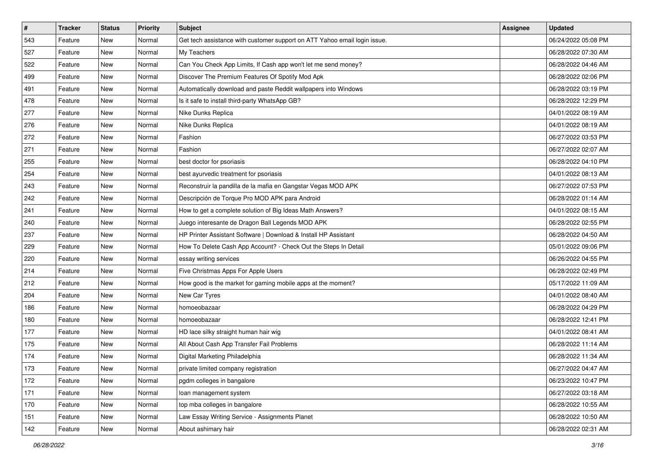| $\vert$ # | <b>Tracker</b> | <b>Status</b> | Priority | Subject                                                                   | Assignee | <b>Updated</b>      |
|-----------|----------------|---------------|----------|---------------------------------------------------------------------------|----------|---------------------|
| 543       | Feature        | New           | Normal   | Get tech assistance with customer support on ATT Yahoo email login issue. |          | 06/24/2022 05:08 PM |
| 527       | Feature        | New           | Normal   | My Teachers                                                               |          | 06/28/2022 07:30 AM |
| 522       | Feature        | New           | Normal   | Can You Check App Limits, If Cash app won't let me send money?            |          | 06/28/2022 04:46 AM |
| 499       | Feature        | New           | Normal   | Discover The Premium Features Of Spotify Mod Apk                          |          | 06/28/2022 02:06 PM |
| 491       | Feature        | New           | Normal   | Automatically download and paste Reddit wallpapers into Windows           |          | 06/28/2022 03:19 PM |
| 478       | Feature        | New           | Normal   | Is it safe to install third-party WhatsApp GB?                            |          | 06/28/2022 12:29 PM |
| 277       | Feature        | New           | Normal   | Nike Dunks Replica                                                        |          | 04/01/2022 08:19 AM |
| 276       | Feature        | New           | Normal   | Nike Dunks Replica                                                        |          | 04/01/2022 08:19 AM |
| 272       | Feature        | New           | Normal   | Fashion                                                                   |          | 06/27/2022 03:53 PM |
| 271       | Feature        | New           | Normal   | Fashion                                                                   |          | 06/27/2022 02:07 AM |
| 255       | Feature        | New           | Normal   | best doctor for psoriasis                                                 |          | 06/28/2022 04:10 PM |
| 254       | Feature        | New           | Normal   | best ayurvedic treatment for psoriasis                                    |          | 04/01/2022 08:13 AM |
| 243       | Feature        | New           | Normal   | Reconstruir la pandilla de la mafia en Gangstar Vegas MOD APK             |          | 06/27/2022 07:53 PM |
| 242       | Feature        | New           | Normal   | Descripción de Torque Pro MOD APK para Android                            |          | 06/28/2022 01:14 AM |
| 241       | Feature        | New           | Normal   | How to get a complete solution of Big Ideas Math Answers?                 |          | 04/01/2022 08:15 AM |
| 240       | Feature        | New           | Normal   | Juego interesante de Dragon Ball Legends MOD APK                          |          | 06/28/2022 02:55 PM |
| 237       | Feature        | New           | Normal   | HP Printer Assistant Software   Download & Install HP Assistant           |          | 06/28/2022 04:50 AM |
| 229       | Feature        | New           | Normal   | How To Delete Cash App Account? - Check Out the Steps In Detail           |          | 05/01/2022 09:06 PM |
| 220       | Feature        | New           | Normal   | essay writing services                                                    |          | 06/26/2022 04:55 PM |
| 214       | Feature        | New           | Normal   | Five Christmas Apps For Apple Users                                       |          | 06/28/2022 02:49 PM |
| 212       | Feature        | New           | Normal   | How good is the market for gaming mobile apps at the moment?              |          | 05/17/2022 11:09 AM |
| 204       | Feature        | New           | Normal   | New Car Tyres                                                             |          | 04/01/2022 08:40 AM |
| 186       | Feature        | New           | Normal   | homoeobazaar                                                              |          | 06/28/2022 04:29 PM |
| 180       | Feature        | New           | Normal   | homoeobazaar                                                              |          | 06/28/2022 12:41 PM |
| 177       | Feature        | New           | Normal   | HD lace silky straight human hair wig                                     |          | 04/01/2022 08:41 AM |
| 175       | Feature        | New           | Normal   | All About Cash App Transfer Fail Problems                                 |          | 06/28/2022 11:14 AM |
| 174       | Feature        | New           | Normal   | Digital Marketing Philadelphia                                            |          | 06/28/2022 11:34 AM |
| 173       | Feature        | New           | Normal   | private limited company registration                                      |          | 06/27/2022 04:47 AM |
| 172       | Feature        | New           | Normal   | pgdm colleges in bangalore                                                |          | 06/23/2022 10:47 PM |
| 171       | Feature        | New           | Normal   | loan management system                                                    |          | 06/27/2022 03:18 AM |
| 170       | Feature        | New           | Normal   | top mba colleges in bangalore                                             |          | 06/28/2022 10:55 AM |
| 151       | Feature        | New           | Normal   | Law Essay Writing Service - Assignments Planet                            |          | 06/28/2022 10:50 AM |
| 142       | Feature        | New           | Normal   | About ashimary hair                                                       |          | 06/28/2022 02:31 AM |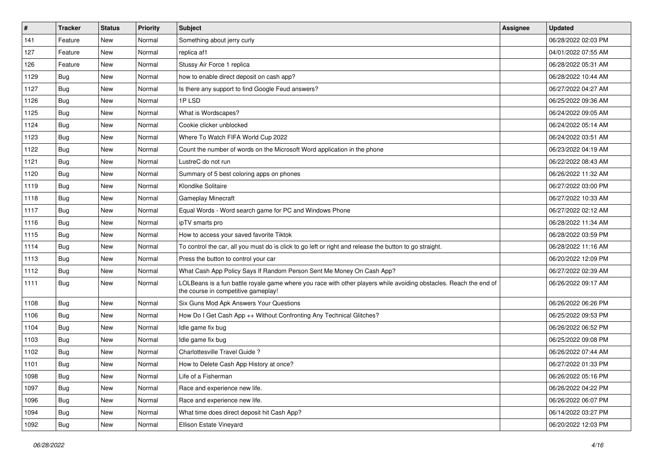| $\vert$ # | <b>Tracker</b> | <b>Status</b> | <b>Priority</b> | <b>Subject</b>                                                                                                                                           | Assignee | <b>Updated</b>      |
|-----------|----------------|---------------|-----------------|----------------------------------------------------------------------------------------------------------------------------------------------------------|----------|---------------------|
| 141       | Feature        | New           | Normal          | Something about jerry curly                                                                                                                              |          | 06/28/2022 02:03 PM |
| 127       | Feature        | New           | Normal          | replica af1                                                                                                                                              |          | 04/01/2022 07:55 AM |
| 126       | Feature        | New           | Normal          | Stussy Air Force 1 replica                                                                                                                               |          | 06/28/2022 05:31 AM |
| 1129      | Bug            | New           | Normal          | how to enable direct deposit on cash app?                                                                                                                |          | 06/28/2022 10:44 AM |
| 1127      | Bug            | New           | Normal          | Is there any support to find Google Feud answers?                                                                                                        |          | 06/27/2022 04:27 AM |
| 1126      | Bug            | New           | Normal          | 1PLSD                                                                                                                                                    |          | 06/25/2022 09:36 AM |
| 1125      | Bug            | New           | Normal          | What is Wordscapes?                                                                                                                                      |          | 06/24/2022 09:05 AM |
| 1124      | Bug            | New           | Normal          | Cookie clicker unblocked                                                                                                                                 |          | 06/24/2022 05:14 AM |
| 1123      | Bug            | New           | Normal          | Where To Watch FIFA World Cup 2022                                                                                                                       |          | 06/24/2022 03:51 AM |
| 1122      | Bug            | New           | Normal          | Count the number of words on the Microsoft Word application in the phone                                                                                 |          | 06/23/2022 04:19 AM |
| 1121      | <b>Bug</b>     | New           | Normal          | LustreC do not run                                                                                                                                       |          | 06/22/2022 08:43 AM |
| 1120      | Bug            | New           | Normal          | Summary of 5 best coloring apps on phones                                                                                                                |          | 06/26/2022 11:32 AM |
| 1119      | Bug            | New           | Normal          | Klondike Solitaire                                                                                                                                       |          | 06/27/2022 03:00 PM |
| 1118      | Bug            | New           | Normal          | <b>Gameplay Minecraft</b>                                                                                                                                |          | 06/27/2022 10:33 AM |
| 1117      | Bug            | New           | Normal          | Equal Words - Word search game for PC and Windows Phone                                                                                                  |          | 06/27/2022 02:12 AM |
| 1116      | Bug            | New           | Normal          | ipTV smarts pro                                                                                                                                          |          | 06/28/2022 11:34 AM |
| 1115      | Bug            | New           | Normal          | How to access your saved favorite Tiktok                                                                                                                 |          | 06/28/2022 03:59 PM |
| 1114      | Bug            | New           | Normal          | To control the car, all you must do is click to go left or right and release the button to go straight.                                                  |          | 06/28/2022 11:16 AM |
| 1113      | Bug            | New           | Normal          | Press the button to control your car                                                                                                                     |          | 06/20/2022 12:09 PM |
| 1112      | Bug            | New           | Normal          | What Cash App Policy Says If Random Person Sent Me Money On Cash App?                                                                                    |          | 06/27/2022 02:39 AM |
| 1111      | Bug            | New           | Normal          | LOLBeans is a fun battle royale game where you race with other players while avoiding obstacles. Reach the end of<br>the course in competitive gameplay! |          | 06/26/2022 09:17 AM |
| 1108      | Bug            | New           | Normal          | Six Guns Mod Apk Answers Your Questions                                                                                                                  |          | 06/26/2022 06:26 PM |
| 1106      | <b>Bug</b>     | New           | Normal          | How Do I Get Cash App ++ Without Confronting Any Technical Glitches?                                                                                     |          | 06/25/2022 09:53 PM |
| 1104      | <b>Bug</b>     | New           | Normal          | Idle game fix bug                                                                                                                                        |          | 06/26/2022 06:52 PM |
| 1103      | Bug            | New           | Normal          | Idle game fix bug                                                                                                                                        |          | 06/25/2022 09:08 PM |
| 1102      | <b>Bug</b>     | New           | Normal          | Charlottesville Travel Guide ?                                                                                                                           |          | 06/26/2022 07:44 AM |
| 1101      | <b>Bug</b>     | New           | Normal          | How to Delete Cash App History at once?                                                                                                                  |          | 06/27/2022 01:33 PM |
| 1098      | <b>Bug</b>     | New           | Normal          | Life of a Fisherman                                                                                                                                      |          | 06/26/2022 05:16 PM |
| 1097      | <b>Bug</b>     | New           | Normal          | Race and experience new life.                                                                                                                            |          | 06/26/2022 04:22 PM |
| 1096      | <b>Bug</b>     | New           | Normal          | Race and experience new life.                                                                                                                            |          | 06/26/2022 06:07 PM |
| 1094      | Bug            | New           | Normal          | What time does direct deposit hit Cash App?                                                                                                              |          | 06/14/2022 03:27 PM |
| 1092      | <b>Bug</b>     | New           | Normal          | Ellison Estate Vineyard                                                                                                                                  |          | 06/20/2022 12:03 PM |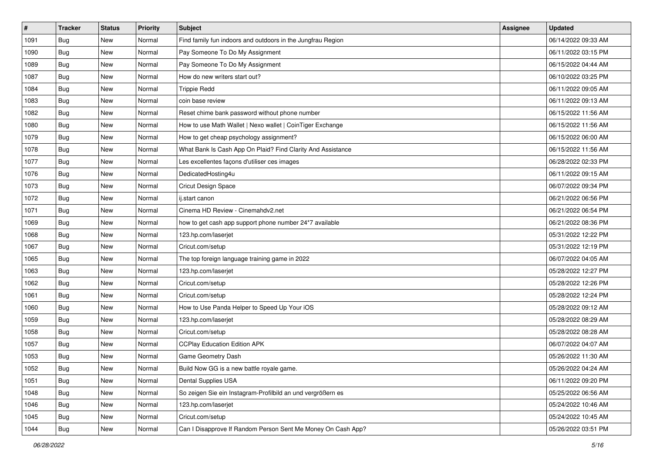| $\vert$ # | <b>Tracker</b> | <b>Status</b> | <b>Priority</b> | <b>Subject</b>                                               | Assignee | <b>Updated</b>      |
|-----------|----------------|---------------|-----------------|--------------------------------------------------------------|----------|---------------------|
| 1091      | <b>Bug</b>     | New           | Normal          | Find family fun indoors and outdoors in the Jungfrau Region  |          | 06/14/2022 09:33 AM |
| 1090      | Bug            | New           | Normal          | Pay Someone To Do My Assignment                              |          | 06/11/2022 03:15 PM |
| 1089      | Bug            | New           | Normal          | Pay Someone To Do My Assignment                              |          | 06/15/2022 04:44 AM |
| 1087      | <b>Bug</b>     | New           | Normal          | How do new writers start out?                                |          | 06/10/2022 03:25 PM |
| 1084      | Bug            | New           | Normal          | <b>Trippie Redd</b>                                          |          | 06/11/2022 09:05 AM |
| 1083      | <b>Bug</b>     | New           | Normal          | coin base review                                             |          | 06/11/2022 09:13 AM |
| 1082      | <b>Bug</b>     | New           | Normal          | Reset chime bank password without phone number               |          | 06/15/2022 11:56 AM |
| 1080      | Bug            | New           | Normal          | How to use Math Wallet   Nexo wallet   CoinTiger Exchange    |          | 06/15/2022 11:56 AM |
| 1079      | <b>Bug</b>     | New           | Normal          | How to get cheap psychology assignment?                      |          | 06/15/2022 06:00 AM |
| 1078      | <b>Bug</b>     | New           | Normal          | What Bank Is Cash App On Plaid? Find Clarity And Assistance  |          | 06/15/2022 11:56 AM |
| 1077      | <b>Bug</b>     | New           | Normal          | Les excellentes façons d'utiliser ces images                 |          | 06/28/2022 02:33 PM |
| 1076      | <b>Bug</b>     | New           | Normal          | DedicatedHosting4u                                           |          | 06/11/2022 09:15 AM |
| 1073      | <b>Bug</b>     | New           | Normal          | Cricut Design Space                                          |          | 06/07/2022 09:34 PM |
| 1072      | <b>Bug</b>     | New           | Normal          | ij.start canon                                               |          | 06/21/2022 06:56 PM |
| 1071      | <b>Bug</b>     | New           | Normal          | Cinema HD Review - Cinemahdv2.net                            |          | 06/21/2022 06:54 PM |
| 1069      | Bug            | New           | Normal          | how to get cash app support phone number 24*7 available      |          | 06/21/2022 08:36 PM |
| 1068      | <b>Bug</b>     | New           | Normal          | 123.hp.com/laserjet                                          |          | 05/31/2022 12:22 PM |
| 1067      | Bug            | New           | Normal          | Cricut.com/setup                                             |          | 05/31/2022 12:19 PM |
| 1065      | <b>Bug</b>     | New           | Normal          | The top foreign language training game in 2022               |          | 06/07/2022 04:05 AM |
| 1063      | Bug            | New           | Normal          | 123.hp.com/laserjet                                          |          | 05/28/2022 12:27 PM |
| 1062      | <b>Bug</b>     | New           | Normal          | Cricut.com/setup                                             |          | 05/28/2022 12:26 PM |
| 1061      | <b>Bug</b>     | New           | Normal          | Cricut.com/setup                                             |          | 05/28/2022 12:24 PM |
| 1060      | Bug            | New           | Normal          | How to Use Panda Helper to Speed Up Your iOS                 |          | 05/28/2022 09:12 AM |
| 1059      | <b>Bug</b>     | New           | Normal          | 123.hp.com/laserjet                                          |          | 05/28/2022 08:29 AM |
| 1058      | <b>Bug</b>     | New           | Normal          | Cricut.com/setup                                             |          | 05/28/2022 08:28 AM |
| 1057      | <b>Bug</b>     | New           | Normal          | <b>CCPlay Education Edition APK</b>                          |          | 06/07/2022 04:07 AM |
| 1053      | <b>Bug</b>     | New           | Normal          | Game Geometry Dash                                           |          | 05/26/2022 11:30 AM |
| 1052      | <b>Bug</b>     | New           | Normal          | Build Now GG is a new battle royale game.                    |          | 05/26/2022 04:24 AM |
| 1051      | Bug            | New           | Normal          | Dental Supplies USA                                          |          | 06/11/2022 09:20 PM |
| 1048      | <b>Bug</b>     | New           | Normal          | So zeigen Sie ein Instagram-Profilbild an und vergrößern es  |          | 05/25/2022 06:56 AM |
| 1046      | Bug            | New           | Normal          | 123.hp.com/laserjet                                          |          | 05/24/2022 10:46 AM |
| 1045      | <b>Bug</b>     | New           | Normal          | Cricut.com/setup                                             |          | 05/24/2022 10:45 AM |
| 1044      | <b>Bug</b>     | New           | Normal          | Can I Disapprove If Random Person Sent Me Money On Cash App? |          | 05/26/2022 03:51 PM |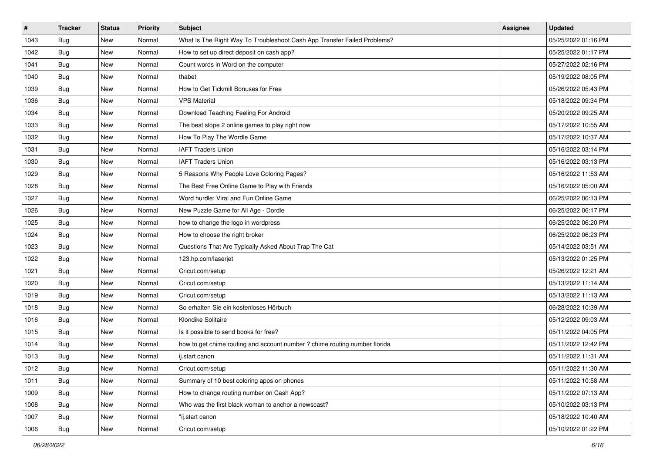| $\sharp$ | <b>Tracker</b> | <b>Status</b> | <b>Priority</b> | Subject                                                                    | Assignee | <b>Updated</b>      |
|----------|----------------|---------------|-----------------|----------------------------------------------------------------------------|----------|---------------------|
| 1043     | <b>Bug</b>     | New           | Normal          | What Is The Right Way To Troubleshoot Cash App Transfer Failed Problems?   |          | 05/25/2022 01:16 PM |
| 1042     | Bug            | New           | Normal          | How to set up direct deposit on cash app?                                  |          | 05/25/2022 01:17 PM |
| 1041     | Bug            | New           | Normal          | Count words in Word on the computer                                        |          | 05/27/2022 02:16 PM |
| 1040     | <b>Bug</b>     | New           | Normal          | thabet                                                                     |          | 05/19/2022 08:05 PM |
| 1039     | <b>Bug</b>     | New           | Normal          | How to Get Tickmill Bonuses for Free                                       |          | 05/26/2022 05:43 PM |
| 1036     | <b>Bug</b>     | New           | Normal          | <b>VPS Material</b>                                                        |          | 05/18/2022 09:34 PM |
| 1034     | Bug            | New           | Normal          | Download Teaching Feeling For Android                                      |          | 05/20/2022 09:25 AM |
| 1033     | <b>Bug</b>     | New           | Normal          | The best slope 2 online games to play right now                            |          | 05/17/2022 10:55 AM |
| 1032     | <b>Bug</b>     | New           | Normal          | How To Play The Wordle Game                                                |          | 05/17/2022 10:37 AM |
| 1031     | Bug            | New           | Normal          | <b>IAFT Traders Union</b>                                                  |          | 05/16/2022 03:14 PM |
| 1030     | <b>Bug</b>     | New           | Normal          | <b>IAFT Traders Union</b>                                                  |          | 05/16/2022 03:13 PM |
| 1029     | <b>Bug</b>     | New           | Normal          | 5 Reasons Why People Love Coloring Pages?                                  |          | 05/16/2022 11:53 AM |
| 1028     | Bug            | <b>New</b>    | Normal          | The Best Free Online Game to Play with Friends                             |          | 05/16/2022 05:00 AM |
| 1027     | <b>Bug</b>     | New           | Normal          | Word hurdle: Viral and Fun Online Game                                     |          | 06/25/2022 06:13 PM |
| 1026     | <b>Bug</b>     | New           | Normal          | New Puzzle Game for All Age - Dordle                                       |          | 06/25/2022 06:17 PM |
| 1025     | <b>Bug</b>     | New           | Normal          | how to change the logo in wordpress                                        |          | 06/25/2022 06:20 PM |
| 1024     | <b>Bug</b>     | New           | Normal          | How to choose the right broker                                             |          | 06/25/2022 06:23 PM |
| 1023     | <b>Bug</b>     | <b>New</b>    | Normal          | Questions That Are Typically Asked About Trap The Cat                      |          | 05/14/2022 03:51 AM |
| 1022     | <b>Bug</b>     | New           | Normal          | 123.hp.com/laserjet                                                        |          | 05/13/2022 01:25 PM |
| 1021     | <b>Bug</b>     | New           | Normal          | Cricut.com/setup                                                           |          | 05/26/2022 12:21 AM |
| 1020     | <b>Bug</b>     | New           | Normal          | Cricut.com/setup                                                           |          | 05/13/2022 11:14 AM |
| 1019     | <b>Bug</b>     | New           | Normal          | Cricut.com/setup                                                           |          | 05/13/2022 11:13 AM |
| 1018     | Bug            | New           | Normal          | So erhalten Sie ein kostenloses Hörbuch                                    |          | 06/28/2022 10:39 AM |
| 1016     | <b>Bug</b>     | New           | Normal          | Klondike Solitaire                                                         |          | 05/12/2022 09:03 AM |
| 1015     | <b>Bug</b>     | New           | Normal          | Is it possible to send books for free?                                     |          | 05/11/2022 04:05 PM |
| 1014     | Bug            | <b>New</b>    | Normal          | how to get chime routing and account number ? chime routing number florida |          | 05/11/2022 12:42 PM |
| 1013     | Bug            | New           | Normal          | ij.start canon                                                             |          | 05/11/2022 11:31 AM |
| 1012     | <b>Bug</b>     | New           | Normal          | Cricut.com/setup                                                           |          | 05/11/2022 11:30 AM |
| 1011     | Bug            | New           | Normal          | Summary of 10 best coloring apps on phones                                 |          | 05/11/2022 10:58 AM |
| 1009     | Bug            | New           | Normal          | How to change routing number on Cash App?                                  |          | 05/11/2022 07:13 AM |
| 1008     | Bug            | New           | Normal          | Who was the first black woman to anchor a newscast?                        |          | 05/10/2022 03:13 PM |
| 1007     | <b>Bug</b>     | New           | Normal          | "ij.start canon                                                            |          | 05/18/2022 10:40 AM |
| 1006     | <b>Bug</b>     | New           | Normal          | Cricut.com/setup                                                           |          | 05/10/2022 01:22 PM |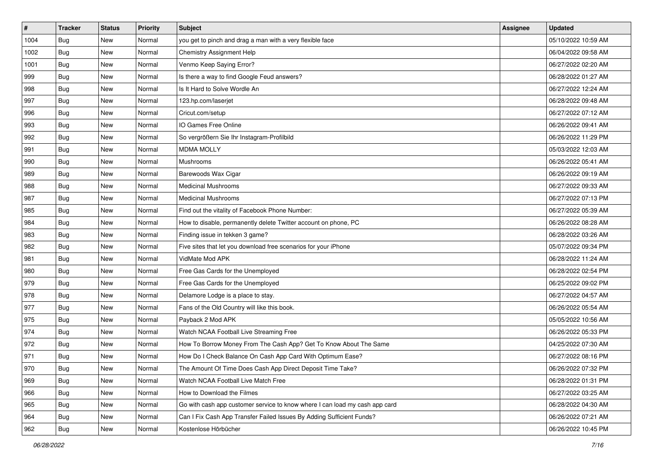| #    | <b>Tracker</b> | <b>Status</b> | Priority | <b>Subject</b>                                                              | Assignee | <b>Updated</b>      |
|------|----------------|---------------|----------|-----------------------------------------------------------------------------|----------|---------------------|
| 1004 | <b>Bug</b>     | New           | Normal   | you get to pinch and drag a man with a very flexible face                   |          | 05/10/2022 10:59 AM |
| 1002 | Bug            | New           | Normal   | <b>Chemistry Assignment Help</b>                                            |          | 06/04/2022 09:58 AM |
| 1001 | Bug            | New           | Normal   | Venmo Keep Saying Error?                                                    |          | 06/27/2022 02:20 AM |
| 999  | <b>Bug</b>     | New           | Normal   | Is there a way to find Google Feud answers?                                 |          | 06/28/2022 01:27 AM |
| 998  | Bug            | New           | Normal   | Is It Hard to Solve Wordle An                                               |          | 06/27/2022 12:24 AM |
| 997  | <b>Bug</b>     | New           | Normal   | 123.hp.com/laserjet                                                         |          | 06/28/2022 09:48 AM |
| 996  | <b>Bug</b>     | New           | Normal   | Cricut.com/setup                                                            |          | 06/27/2022 07:12 AM |
| 993  | Bug            | New           | Normal   | IO Games Free Online                                                        |          | 06/26/2022 09:41 AM |
| 992  | Bug            | New           | Normal   | So vergrößern Sie Ihr Instagram-Profilbild                                  |          | 06/26/2022 11:29 PM |
| 991  | Bug            | New           | Normal   | <b>MDMA MOLLY</b>                                                           |          | 05/03/2022 12:03 AM |
| 990  | <b>Bug</b>     | New           | Normal   | Mushrooms                                                                   |          | 06/26/2022 05:41 AM |
| 989  | Bug            | New           | Normal   | Barewoods Wax Cigar                                                         |          | 06/26/2022 09:19 AM |
| 988  | Bug            | New           | Normal   | <b>Medicinal Mushrooms</b>                                                  |          | 06/27/2022 09:33 AM |
| 987  | <b>Bug</b>     | New           | Normal   | <b>Medicinal Mushrooms</b>                                                  |          | 06/27/2022 07:13 PM |
| 985  | <b>Bug</b>     | New           | Normal   | Find out the vitality of Facebook Phone Number:                             |          | 06/27/2022 05:39 AM |
| 984  | Bug            | New           | Normal   | How to disable, permanently delete Twitter account on phone, PC             |          | 06/26/2022 08:28 AM |
| 983  | <b>Bug</b>     | New           | Normal   | Finding issue in tekken 3 game?                                             |          | 06/28/2022 03:26 AM |
| 982  | Bug            | New           | Normal   | Five sites that let you download free scenarios for your iPhone             |          | 05/07/2022 09:34 PM |
| 981  | <b>Bug</b>     | New           | Normal   | VidMate Mod APK                                                             |          | 06/28/2022 11:24 AM |
| 980  | Bug            | New           | Normal   | Free Gas Cards for the Unemployed                                           |          | 06/28/2022 02:54 PM |
| 979  | Bug            | New           | Normal   | Free Gas Cards for the Unemployed                                           |          | 06/25/2022 09:02 PM |
| 978  | Bug            | New           | Normal   | Delamore Lodge is a place to stay.                                          |          | 06/27/2022 04:57 AM |
| 977  | Bug            | New           | Normal   | Fans of the Old Country will like this book.                                |          | 06/26/2022 05:54 AM |
| 975  | <b>Bug</b>     | New           | Normal   | Payback 2 Mod APK                                                           |          | 05/05/2022 10:56 AM |
| 974  | <b>Bug</b>     | New           | Normal   | Watch NCAA Football Live Streaming Free                                     |          | 06/26/2022 05:33 PM |
| 972  | Bug            | New           | Normal   | How To Borrow Money From The Cash App? Get To Know About The Same           |          | 04/25/2022 07:30 AM |
| 971  | <b>Bug</b>     | New           | Normal   | How Do I Check Balance On Cash App Card With Optimum Ease?                  |          | 06/27/2022 08:16 PM |
| 970  | <b>Bug</b>     | New           | Normal   | The Amount Of Time Does Cash App Direct Deposit Time Take?                  |          | 06/26/2022 07:32 PM |
| 969  | <b>Bug</b>     | New           | Normal   | Watch NCAA Football Live Match Free                                         |          | 06/28/2022 01:31 PM |
| 966  | Bug            | New           | Normal   | How to Download the Filmes                                                  |          | 06/27/2022 03:25 AM |
| 965  | Bug            | New           | Normal   | Go with cash app customer service to know where I can load my cash app card |          | 06/28/2022 04:30 AM |
| 964  | <b>Bug</b>     | New           | Normal   | Can I Fix Cash App Transfer Failed Issues By Adding Sufficient Funds?       |          | 06/26/2022 07:21 AM |
| 962  | <b>Bug</b>     | New           | Normal   | Kostenlose Hörbücher                                                        |          | 06/26/2022 10:45 PM |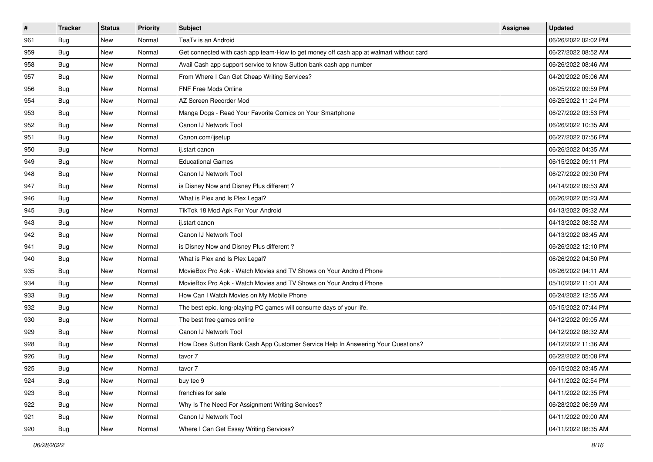| #   | <b>Tracker</b> | <b>Status</b> | Priority | <b>Subject</b>                                                                         | Assignee | <b>Updated</b>      |
|-----|----------------|---------------|----------|----------------------------------------------------------------------------------------|----------|---------------------|
| 961 | <b>Bug</b>     | New           | Normal   | TeaTv is an Android                                                                    |          | 06/26/2022 02:02 PM |
| 959 | Bug            | New           | Normal   | Get connected with cash app team-How to get money off cash app at walmart without card |          | 06/27/2022 08:52 AM |
| 958 | Bug            | New           | Normal   | Avail Cash app support service to know Sutton bank cash app number                     |          | 06/26/2022 08:46 AM |
| 957 | <b>Bug</b>     | New           | Normal   | From Where I Can Get Cheap Writing Services?                                           |          | 04/20/2022 05:06 AM |
| 956 | Bug            | New           | Normal   | FNF Free Mods Online                                                                   |          | 06/25/2022 09:59 PM |
| 954 | <b>Bug</b>     | New           | Normal   | AZ Screen Recorder Mod                                                                 |          | 06/25/2022 11:24 PM |
| 953 | <b>Bug</b>     | New           | Normal   | Manga Dogs - Read Your Favorite Comics on Your Smartphone                              |          | 06/27/2022 03:53 PM |
| 952 | Bug            | New           | Normal   | Canon IJ Network Tool                                                                  |          | 06/26/2022 10:35 AM |
| 951 | Bug            | New           | Normal   | Canon.com/ijsetup                                                                      |          | 06/27/2022 07:56 PM |
| 950 | Bug            | New           | Normal   | ij.start canon                                                                         |          | 06/26/2022 04:35 AM |
| 949 | <b>Bug</b>     | New           | Normal   | <b>Educational Games</b>                                                               |          | 06/15/2022 09:11 PM |
| 948 | Bug            | New           | Normal   | Canon IJ Network Tool                                                                  |          | 06/27/2022 09:30 PM |
| 947 | Bug            | New           | Normal   | is Disney Now and Disney Plus different?                                               |          | 04/14/2022 09:53 AM |
| 946 | <b>Bug</b>     | New           | Normal   | What is Plex and Is Plex Legal?                                                        |          | 06/26/2022 05:23 AM |
| 945 | <b>Bug</b>     | New           | Normal   | TikTok 18 Mod Apk For Your Android                                                     |          | 04/13/2022 09:32 AM |
| 943 | Bug            | New           | Normal   | ij.start canon                                                                         |          | 04/13/2022 08:52 AM |
| 942 | <b>Bug</b>     | New           | Normal   | Canon IJ Network Tool                                                                  |          | 04/13/2022 08:45 AM |
| 941 | Bug            | New           | Normal   | is Disney Now and Disney Plus different?                                               |          | 06/26/2022 12:10 PM |
| 940 | <b>Bug</b>     | New           | Normal   | What is Plex and Is Plex Legal?                                                        |          | 06/26/2022 04:50 PM |
| 935 | Bug            | New           | Normal   | MovieBox Pro Apk - Watch Movies and TV Shows on Your Android Phone                     |          | 06/26/2022 04:11 AM |
| 934 | Bug            | New           | Normal   | MovieBox Pro Apk - Watch Movies and TV Shows on Your Android Phone                     |          | 05/10/2022 11:01 AM |
| 933 | Bug            | New           | Normal   | How Can I Watch Movies on My Mobile Phone                                              |          | 06/24/2022 12:55 AM |
| 932 | Bug            | New           | Normal   | The best epic, long-playing PC games will consume days of your life.                   |          | 05/15/2022 07:44 PM |
| 930 | <b>Bug</b>     | New           | Normal   | The best free games online                                                             |          | 04/12/2022 09:05 AM |
| 929 | <b>Bug</b>     | New           | Normal   | Canon IJ Network Tool                                                                  |          | 04/12/2022 08:32 AM |
| 928 | Bug            | New           | Normal   | How Does Sutton Bank Cash App Customer Service Help In Answering Your Questions?       |          | 04/12/2022 11:36 AM |
| 926 | <b>Bug</b>     | New           | Normal   | tavor 7                                                                                |          | 06/22/2022 05:08 PM |
| 925 | <b>Bug</b>     | New           | Normal   | tavor 7                                                                                |          | 06/15/2022 03:45 AM |
| 924 | Bug            | New           | Normal   | buy tec 9                                                                              |          | 04/11/2022 02:54 PM |
| 923 | Bug            | New           | Normal   | frenchies for sale                                                                     |          | 04/11/2022 02:35 PM |
| 922 | Bug            | New           | Normal   | Why Is The Need For Assignment Writing Services?                                       |          | 06/28/2022 06:59 AM |
| 921 | <b>Bug</b>     | New           | Normal   | Canon IJ Network Tool                                                                  |          | 04/11/2022 09:00 AM |
| 920 | <b>Bug</b>     | New           | Normal   | Where I Can Get Essay Writing Services?                                                |          | 04/11/2022 08:35 AM |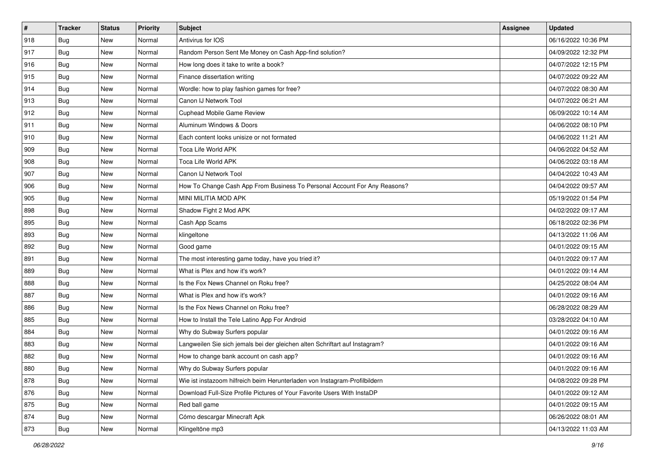| $\vert$ # | <b>Tracker</b> | <b>Status</b> | <b>Priority</b> | <b>Subject</b>                                                              | Assignee | <b>Updated</b>      |
|-----------|----------------|---------------|-----------------|-----------------------------------------------------------------------------|----------|---------------------|
| 918       | <b>Bug</b>     | New           | Normal          | Antivirus for IOS                                                           |          | 06/16/2022 10:36 PM |
| 917       | <b>Bug</b>     | New           | Normal          | Random Person Sent Me Money on Cash App-find solution?                      |          | 04/09/2022 12:32 PM |
| 916       | Bug            | New           | Normal          | How long does it take to write a book?                                      |          | 04/07/2022 12:15 PM |
| 915       | <b>Bug</b>     | New           | Normal          | Finance dissertation writing                                                |          | 04/07/2022 09:22 AM |
| 914       | Bug            | New           | Normal          | Wordle: how to play fashion games for free?                                 |          | 04/07/2022 08:30 AM |
| 913       | <b>Bug</b>     | New           | Normal          | Canon IJ Network Tool                                                       |          | 04/07/2022 06:21 AM |
| 912       | Bug            | New           | Normal          | <b>Cuphead Mobile Game Review</b>                                           |          | 06/09/2022 10:14 AM |
| 911       | Bug            | New           | Normal          | Aluminum Windows & Doors                                                    |          | 04/06/2022 08:10 PM |
| 910       | <b>Bug</b>     | New           | Normal          | Each content looks unisize or not formated                                  |          | 04/06/2022 11:21 AM |
| 909       | Bug            | New           | Normal          | Toca Life World APK                                                         |          | 04/06/2022 04:52 AM |
| 908       | <b>Bug</b>     | New           | Normal          | Toca Life World APK                                                         |          | 04/06/2022 03:18 AM |
| 907       | <b>Bug</b>     | New           | Normal          | Canon IJ Network Tool                                                       |          | 04/04/2022 10:43 AM |
| 906       | Bug            | New           | Normal          | How To Change Cash App From Business To Personal Account For Any Reasons?   |          | 04/04/2022 09:57 AM |
| 905       | <b>Bug</b>     | New           | Normal          | MINI MILITIA MOD APK                                                        |          | 05/19/2022 01:54 PM |
| 898       | Bug            | New           | Normal          | Shadow Fight 2 Mod APK                                                      |          | 04/02/2022 09:17 AM |
| 895       | Bug            | New           | Normal          | Cash App Scams                                                              |          | 06/18/2022 02:36 PM |
| 893       | <b>Bug</b>     | New           | Normal          | klingeltone                                                                 |          | 04/13/2022 11:06 AM |
| 892       | Bug            | New           | Normal          | Good game                                                                   |          | 04/01/2022 09:15 AM |
| 891       | Bug            | New           | Normal          | The most interesting game today, have you tried it?                         |          | 04/01/2022 09:17 AM |
| 889       | <b>Bug</b>     | New           | Normal          | What is Plex and how it's work?                                             |          | 04/01/2022 09:14 AM |
| 888       | Bug            | New           | Normal          | Is the Fox News Channel on Roku free?                                       |          | 04/25/2022 08:04 AM |
| 887       | <b>Bug</b>     | New           | Normal          | What is Plex and how it's work?                                             |          | 04/01/2022 09:16 AM |
| 886       | Bug            | New           | Normal          | Is the Fox News Channel on Roku free?                                       |          | 06/28/2022 08:29 AM |
| 885       | <b>Bug</b>     | New           | Normal          | How to Install the Tele Latino App For Android                              |          | 03/28/2022 04:10 AM |
| 884       | Bug            | New           | Normal          | Why do Subway Surfers popular                                               |          | 04/01/2022 09:16 AM |
| 883       | <b>Bug</b>     | New           | Normal          | Langweilen Sie sich jemals bei der gleichen alten Schriftart auf Instagram? |          | 04/01/2022 09:16 AM |
| 882       | <b>Bug</b>     | New           | Normal          | How to change bank account on cash app?                                     |          | 04/01/2022 09:16 AM |
| 880       | Bug            | New           | Normal          | Why do Subway Surfers popular                                               |          | 04/01/2022 09:16 AM |
| 878       | <b>Bug</b>     | New           | Normal          | Wie ist instazoom hilfreich beim Herunterladen von Instagram-Profilbildern  |          | 04/08/2022 09:28 PM |
| 876       | <b>Bug</b>     | New           | Normal          | Download Full-Size Profile Pictures of Your Favorite Users With InstaDP     |          | 04/01/2022 09:12 AM |
| 875       | <b>Bug</b>     | New           | Normal          | Red ball game                                                               |          | 04/01/2022 09:15 AM |
| 874       | <b>Bug</b>     | New           | Normal          | Cómo descargar Minecraft Apk                                                |          | 06/26/2022 08:01 AM |
| 873       | Bug            | New           | Normal          | Klingeltöne mp3                                                             |          | 04/13/2022 11:03 AM |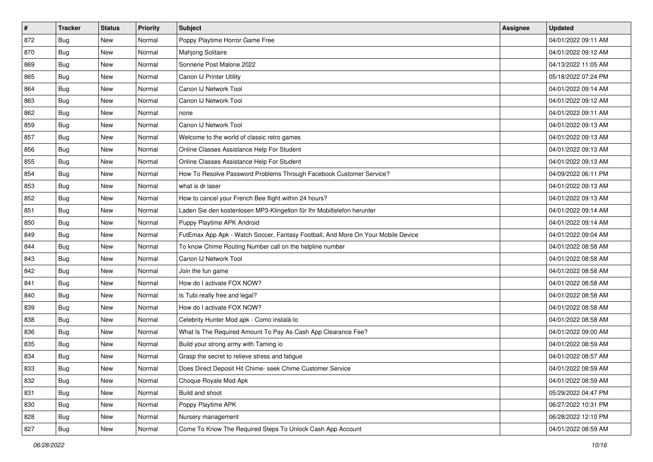| $\vert$ # | <b>Tracker</b> | <b>Status</b> | Priority | Subject                                                                          | <b>Assignee</b> | <b>Updated</b>      |
|-----------|----------------|---------------|----------|----------------------------------------------------------------------------------|-----------------|---------------------|
| 872       | <b>Bug</b>     | New           | Normal   | Poppy Playtime Horror Game Free                                                  |                 | 04/01/2022 09:11 AM |
| 870       | <b>Bug</b>     | New           | Normal   | Mahjong Solitaire                                                                |                 | 04/01/2022 09:12 AM |
| 869       | Bug            | New           | Normal   | Sonnerie Post Malone 2022                                                        |                 | 04/13/2022 11:05 AM |
| 865       | <b>Bug</b>     | New           | Normal   | Canon IJ Printer Utility                                                         |                 | 05/18/2022 07:24 PM |
| 864       | Bug            | New           | Normal   | Canon IJ Network Tool                                                            |                 | 04/01/2022 09:14 AM |
| 863       | <b>Bug</b>     | New           | Normal   | Canon IJ Network Tool                                                            |                 | 04/01/2022 09:12 AM |
| 862       | Bug            | New           | Normal   | none                                                                             |                 | 04/01/2022 09:11 AM |
| 859       | <b>Bug</b>     | New           | Normal   | Canon IJ Network Tool                                                            |                 | 04/01/2022 09:13 AM |
| 857       | <b>Bug</b>     | New           | Normal   | Welcome to the world of classic retro games                                      |                 | 04/01/2022 09:13 AM |
| 856       | Bug            | New           | Normal   | Online Classes Assistance Help For Student                                       |                 | 04/01/2022 09:13 AM |
| 855       | <b>Bug</b>     | New           | Normal   | Online Classes Assistance Help For Student                                       |                 | 04/01/2022 09:13 AM |
| 854       | Bug            | New           | Normal   | How To Resolve Password Problems Through Facebook Customer Service?              |                 | 04/09/2022 06:11 PM |
| 853       | Bug            | New           | Normal   | what is dr laser                                                                 |                 | 04/01/2022 09:13 AM |
| 852       | Bug            | New           | Normal   | How to cancel your French Bee flight within 24 hours?                            |                 | 04/01/2022 09:13 AM |
| 851       | Bug            | New           | Normal   | Laden Sie den kostenlosen MP3-Klingelton für Ihr Mobiltelefon herunter           |                 | 04/01/2022 09:14 AM |
| 850       | Bug            | New           | Normal   | Puppy Playtime APK Android                                                       |                 | 04/01/2022 09:14 AM |
| 849       | <b>Bug</b>     | New           | Normal   | FutEmax App Apk - Watch Soccer, Fantasy Football, And More On Your Mobile Device |                 | 04/01/2022 09:04 AM |
| 844       | Bug            | New           | Normal   | To know Chime Routing Number call on the helpline number                         |                 | 04/01/2022 08:58 AM |
| 843       | Bug            | New           | Normal   | Canon IJ Network Tool                                                            |                 | 04/01/2022 08:58 AM |
| 842       | <b>Bug</b>     | New           | Normal   | Join the fun game                                                                |                 | 04/01/2022 08:58 AM |
| 841       | <b>Bug</b>     | New           | Normal   | How do I activate FOX NOW?                                                       |                 | 04/01/2022 08:58 AM |
| 840       | <b>Bug</b>     | New           | Normal   | Is Tubi really free and legal?                                                   |                 | 04/01/2022 08:58 AM |
| 839       | Bug            | New           | Normal   | How do I activate FOX NOW?                                                       |                 | 04/01/2022 08:58 AM |
| 838       | <b>Bug</b>     | New           | Normal   | Celebrity Hunter Mod apk - Como instalá-lo                                       |                 | 04/01/2022 08:58 AM |
| 836       | Bug            | New           | Normal   | What Is The Required Amount To Pay As Cash App Clearance Fee?                    |                 | 04/01/2022 09:00 AM |
| 835       | <b>Bug</b>     | New           | Normal   | Build your strong army with Taming io                                            |                 | 04/01/2022 08:59 AM |
| 834       | <b>Bug</b>     | New           | Normal   | Grasp the secret to relieve stress and fatigue                                   |                 | 04/01/2022 08:57 AM |
| 833       | i Bug          | New           | Normal   | Does Direct Deposit Hit Chime- seek Chime Customer Service                       |                 | 04/01/2022 08:59 AM |
| 832       | <b>Bug</b>     | New           | Normal   | Choque Royale Mod Apk                                                            |                 | 04/01/2022 08:59 AM |
| 831       | Bug            | New           | Normal   | Build and shoot                                                                  |                 | 05/29/2022 04:47 PM |
| 830       | Bug            | New           | Normal   | Poppy Playtime APK                                                               |                 | 06/27/2022 10:31 PM |
| 828       | <b>Bug</b>     | New           | Normal   | Nursery management                                                               |                 | 06/28/2022 12:10 PM |
| 827       | <b>Bug</b>     | New           | Normal   | Come To Know The Required Steps To Unlock Cash App Account                       |                 | 04/01/2022 08:59 AM |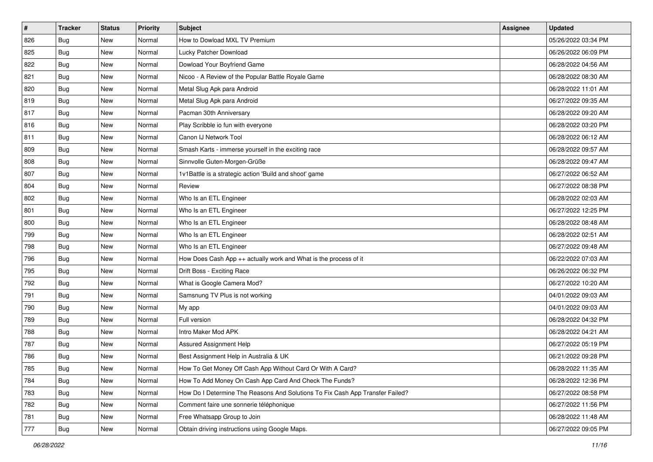| #   | <b>Tracker</b> | <b>Status</b> | Priority | <b>Subject</b>                                                                | <b>Assignee</b> | <b>Updated</b>      |
|-----|----------------|---------------|----------|-------------------------------------------------------------------------------|-----------------|---------------------|
| 826 | <b>Bug</b>     | New           | Normal   | How to Dowload MXL TV Premium                                                 |                 | 05/26/2022 03:34 PM |
| 825 | <b>Bug</b>     | New           | Normal   | Lucky Patcher Download                                                        |                 | 06/26/2022 06:09 PM |
| 822 | Bug            | New           | Normal   | Dowload Your Boyfriend Game                                                   |                 | 06/28/2022 04:56 AM |
| 821 | <b>Bug</b>     | New           | Normal   | Nicoo - A Review of the Popular Battle Royale Game                            |                 | 06/28/2022 08:30 AM |
| 820 | Bug            | New           | Normal   | Metal Slug Apk para Android                                                   |                 | 06/28/2022 11:01 AM |
| 819 | <b>Bug</b>     | New           | Normal   | Metal Slug Apk para Android                                                   |                 | 06/27/2022 09:35 AM |
| 817 | Bug            | New           | Normal   | Pacman 30th Anniversary                                                       |                 | 06/28/2022 09:20 AM |
| 816 | <b>Bug</b>     | New           | Normal   | Play Scribble io fun with everyone                                            |                 | 06/28/2022 03:20 PM |
| 811 | <b>Bug</b>     | New           | Normal   | Canon IJ Network Tool                                                         |                 | 06/28/2022 06:12 AM |
| 809 | Bug            | New           | Normal   | Smash Karts - immerse yourself in the exciting race                           |                 | 06/28/2022 09:57 AM |
| 808 | <b>Bug</b>     | New           | Normal   | Sinnvolle Guten-Morgen-Grüße                                                  |                 | 06/28/2022 09:47 AM |
| 807 | Bug            | New           | Normal   | 1v1Battle is a strategic action 'Build and shoot' game                        |                 | 06/27/2022 06:52 AM |
| 804 | Bug            | New           | Normal   | Review                                                                        |                 | 06/27/2022 08:38 PM |
| 802 | Bug            | New           | Normal   | Who Is an ETL Engineer                                                        |                 | 06/28/2022 02:03 AM |
| 801 | Bug            | New           | Normal   | Who Is an ETL Engineer                                                        |                 | 06/27/2022 12:25 PM |
| 800 | Bug            | New           | Normal   | Who Is an ETL Engineer                                                        |                 | 06/28/2022 08:48 AM |
| 799 | <b>Bug</b>     | New           | Normal   | Who Is an ETL Engineer                                                        |                 | 06/28/2022 02:51 AM |
| 798 | Bug            | New           | Normal   | Who Is an ETL Engineer                                                        |                 | 06/27/2022 09:48 AM |
| 796 | <b>Bug</b>     | New           | Normal   | How Does Cash App ++ actually work and What is the process of it              |                 | 06/22/2022 07:03 AM |
| 795 | <b>Bug</b>     | New           | Normal   | Drift Boss - Exciting Race                                                    |                 | 06/26/2022 06:32 PM |
| 792 | <b>Bug</b>     | New           | Normal   | What is Google Camera Mod?                                                    |                 | 06/27/2022 10:20 AM |
| 791 | <b>Bug</b>     | New           | Normal   | Samsnung TV Plus is not working                                               |                 | 04/01/2022 09:03 AM |
| 790 | Bug            | New           | Normal   | My app                                                                        |                 | 04/01/2022 09:03 AM |
| 789 | <b>Bug</b>     | New           | Normal   | Full version                                                                  |                 | 06/28/2022 04:32 PM |
| 788 | Bug            | New           | Normal   | Intro Maker Mod APK                                                           |                 | 06/28/2022 04:21 AM |
| 787 | <b>Bug</b>     | New           | Normal   | Assured Assignment Help                                                       |                 | 06/27/2022 05:19 PM |
| 786 | <b>Bug</b>     | New           | Normal   | Best Assignment Help in Australia & UK                                        |                 | 06/21/2022 09:28 PM |
| 785 | <b>Bug</b>     | New           | Normal   | How To Get Money Off Cash App Without Card Or With A Card?                    |                 | 06/28/2022 11:35 AM |
| 784 | Bug            | New           | Normal   | How To Add Money On Cash App Card And Check The Funds?                        |                 | 06/28/2022 12:36 PM |
| 783 | Bug            | New           | Normal   | How Do I Determine The Reasons And Solutions To Fix Cash App Transfer Failed? |                 | 06/27/2022 08:58 PM |
| 782 | <b>Bug</b>     | New           | Normal   | Comment faire une sonnerie téléphonique                                       |                 | 06/27/2022 11:56 PM |
| 781 | <b>Bug</b>     | New           | Normal   | Free Whatsapp Group to Join                                                   |                 | 06/28/2022 11:48 AM |
| 777 | Bug            | New           | Normal   | Obtain driving instructions using Google Maps.                                |                 | 06/27/2022 09:05 PM |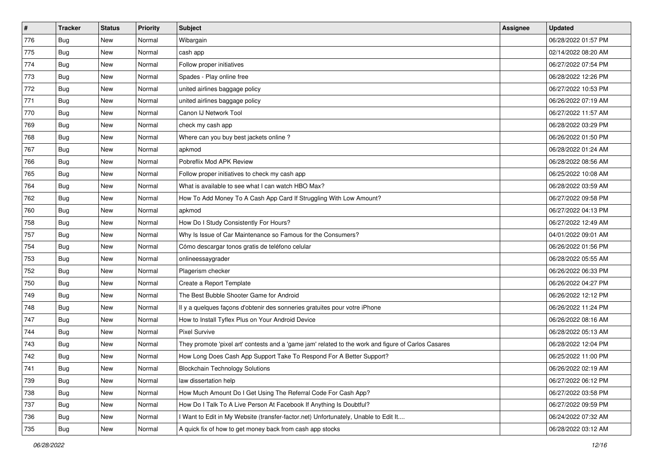| $\vert$ # | <b>Tracker</b> | <b>Status</b> | <b>Priority</b> | <b>Subject</b>                                                                                      | Assignee | <b>Updated</b>      |
|-----------|----------------|---------------|-----------------|-----------------------------------------------------------------------------------------------------|----------|---------------------|
| 776       | <b>Bug</b>     | New           | Normal          | Wibargain                                                                                           |          | 06/28/2022 01:57 PM |
| 775       | Bug            | New           | Normal          | cash app                                                                                            |          | 02/14/2022 08:20 AM |
| 774       | Bug            | New           | Normal          | Follow proper initiatives                                                                           |          | 06/27/2022 07:54 PM |
| 773       | <b>Bug</b>     | New           | Normal          | Spades - Play online free                                                                           |          | 06/28/2022 12:26 PM |
| 772       | Bug            | New           | Normal          | united airlines baggage policy                                                                      |          | 06/27/2022 10:53 PM |
| 771       | <b>Bug</b>     | New           | Normal          | united airlines baggage policy                                                                      |          | 06/26/2022 07:19 AM |
| 770       | Bug            | New           | Normal          | Canon IJ Network Tool                                                                               |          | 06/27/2022 11:57 AM |
| 769       | Bug            | New           | Normal          | check my cash app                                                                                   |          | 06/28/2022 03:29 PM |
| 768       | Bug            | New           | Normal          | Where can you buy best jackets online?                                                              |          | 06/26/2022 01:50 PM |
| 767       | Bug            | New           | Normal          | apkmod                                                                                              |          | 06/28/2022 01:24 AM |
| 766       | <b>Bug</b>     | New           | Normal          | Pobreflix Mod APK Review                                                                            |          | 06/28/2022 08:56 AM |
| 765       | Bug            | New           | Normal          | Follow proper initiatives to check my cash app                                                      |          | 06/25/2022 10:08 AM |
| 764       | <b>Bug</b>     | New           | Normal          | What is available to see what I can watch HBO Max?                                                  |          | 06/28/2022 03:59 AM |
| 762       | Bug            | New           | Normal          | How To Add Money To A Cash App Card If Struggling With Low Amount?                                  |          | 06/27/2022 09:58 PM |
| 760       | Bug            | New           | Normal          | apkmod                                                                                              |          | 06/27/2022 04:13 PM |
| 758       | Bug            | New           | Normal          | How Do I Study Consistently For Hours?                                                              |          | 06/27/2022 12:49 AM |
| 757       | <b>Bug</b>     | New           | Normal          | Why Is Issue of Car Maintenance so Famous for the Consumers?                                        |          | 04/01/2022 09:01 AM |
| 754       | Bug            | New           | Normal          | Cómo descargar tonos gratis de teléfono celular                                                     |          | 06/26/2022 01:56 PM |
| 753       | Bug            | New           | Normal          | onlineessaygrader                                                                                   |          | 06/28/2022 05:55 AM |
| 752       | <b>Bug</b>     | New           | Normal          | Plagerism checker                                                                                   |          | 06/26/2022 06:33 PM |
| 750       | Bug            | New           | Normal          | Create a Report Template                                                                            |          | 06/26/2022 04:27 PM |
| 749       | Bug            | New           | Normal          | The Best Bubble Shooter Game for Android                                                            |          | 06/26/2022 12:12 PM |
| 748       | Bug            | New           | Normal          | Il y a quelques façons d'obtenir des sonneries gratuites pour votre iPhone                          |          | 06/26/2022 11:24 PM |
| 747       | <b>Bug</b>     | New           | Normal          | How to Install Tyflex Plus on Your Android Device                                                   |          | 06/26/2022 08:16 AM |
| 744       | Bug            | New           | Normal          | <b>Pixel Survive</b>                                                                                |          | 06/28/2022 05:13 AM |
| 743       | Bug            | New           | Normal          | They promote 'pixel art' contests and a 'game jam' related to the work and figure of Carlos Casares |          | 06/28/2022 12:04 PM |
| 742       | <b>Bug</b>     | New           | Normal          | How Long Does Cash App Support Take To Respond For A Better Support?                                |          | 06/25/2022 11:00 PM |
| 741       | I Bug          | New           | Normal          | <b>Blockchain Technology Solutions</b>                                                              |          | 06/26/2022 02:19 AM |
| 739       | <b>Bug</b>     | New           | Normal          | law dissertation help                                                                               |          | 06/27/2022 06:12 PM |
| 738       | Bug            | New           | Normal          | How Much Amount Do I Get Using The Referral Code For Cash App?                                      |          | 06/27/2022 03:58 PM |
| 737       | <b>Bug</b>     | New           | Normal          | How Do I Talk To A Live Person At Facebook If Anything Is Doubtful?                                 |          | 06/27/2022 09:59 PM |
| 736       | <b>Bug</b>     | New           | Normal          | I Want to Edit in My Website (transfer-factor.net) Unfortunately, Unable to Edit It                 |          | 06/24/2022 07:32 AM |
| 735       | Bug            | New           | Normal          | A quick fix of how to get money back from cash app stocks                                           |          | 06/28/2022 03:12 AM |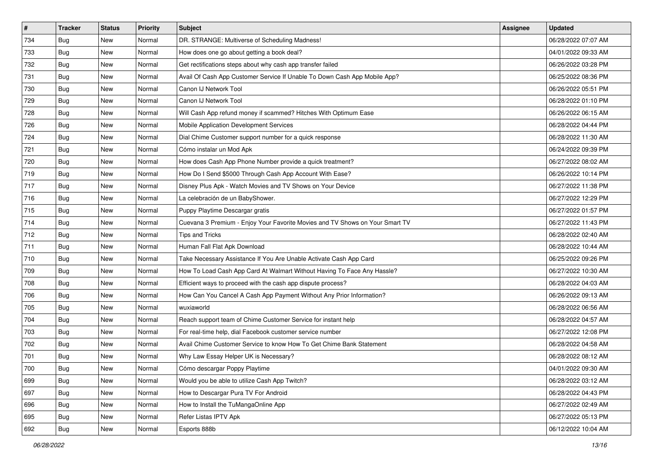| $\vert$ # | <b>Tracker</b> | <b>Status</b> | <b>Priority</b> | <b>Subject</b>                                                               | Assignee | <b>Updated</b>      |
|-----------|----------------|---------------|-----------------|------------------------------------------------------------------------------|----------|---------------------|
| 734       | <b>Bug</b>     | New           | Normal          | DR. STRANGE: Multiverse of Scheduling Madness!                               |          | 06/28/2022 07:07 AM |
| 733       | <b>Bug</b>     | New           | Normal          | How does one go about getting a book deal?                                   |          | 04/01/2022 09:33 AM |
| 732       | Bug            | New           | Normal          | Get rectifications steps about why cash app transfer failed                  |          | 06/26/2022 03:28 PM |
| 731       | Bug            | New           | Normal          | Avail Of Cash App Customer Service If Unable To Down Cash App Mobile App?    |          | 06/25/2022 08:36 PM |
| 730       | Bug            | New           | Normal          | Canon IJ Network Tool                                                        |          | 06/26/2022 05:51 PM |
| 729       | <b>Bug</b>     | New           | Normal          | Canon IJ Network Tool                                                        |          | 06/28/2022 01:10 PM |
| 728       | Bug            | New           | Normal          | Will Cash App refund money if scammed? Hitches With Optimum Ease             |          | 06/26/2022 06:15 AM |
| 726       | <b>Bug</b>     | New           | Normal          | Mobile Application Development Services                                      |          | 06/28/2022 04:44 PM |
| 724       | <b>Bug</b>     | New           | Normal          | Dial Chime Customer support number for a quick response                      |          | 06/28/2022 11:30 AM |
| 721       | Bug            | New           | Normal          | Cómo instalar un Mod Apk                                                     |          | 06/24/2022 09:39 PM |
| 720       | <b>Bug</b>     | New           | Normal          | How does Cash App Phone Number provide a quick treatment?                    |          | 06/27/2022 08:02 AM |
| 719       | Bug            | New           | Normal          | How Do I Send \$5000 Through Cash App Account With Ease?                     |          | 06/26/2022 10:14 PM |
| 717       | Bug            | New           | Normal          | Disney Plus Apk - Watch Movies and TV Shows on Your Device                   |          | 06/27/2022 11:38 PM |
| 716       | <b>Bug</b>     | New           | Normal          | La celebración de un BabyShower.                                             |          | 06/27/2022 12:29 PM |
| 715       | <b>Bug</b>     | New           | Normal          | Puppy Playtime Descargar gratis                                              |          | 06/27/2022 01:57 PM |
| 714       | Bug            | New           | Normal          | Cuevana 3 Premium - Enjoy Your Favorite Movies and TV Shows on Your Smart TV |          | 06/27/2022 11:43 PM |
| 712       | <b>Bug</b>     | New           | Normal          | Tips and Tricks                                                              |          | 06/28/2022 02:40 AM |
| 711       | Bug            | New           | Normal          | Human Fall Flat Apk Download                                                 |          | 06/28/2022 10:44 AM |
| 710       | Bug            | New           | Normal          | Take Necessary Assistance If You Are Unable Activate Cash App Card           |          | 06/25/2022 09:26 PM |
| 709       | <b>Bug</b>     | New           | Normal          | How To Load Cash App Card At Walmart Without Having To Face Any Hassle?      |          | 06/27/2022 10:30 AM |
| 708       | <b>Bug</b>     | New           | Normal          | Efficient ways to proceed with the cash app dispute process?                 |          | 06/28/2022 04:03 AM |
| 706       | <b>Bug</b>     | New           | Normal          | How Can You Cancel A Cash App Payment Without Any Prior Information?         |          | 06/26/2022 09:13 AM |
| 705       | Bug            | New           | Normal          | wuxiaworld                                                                   |          | 06/28/2022 06:56 AM |
| 704       | <b>Bug</b>     | New           | Normal          | Reach support team of Chime Customer Service for instant help                |          | 06/28/2022 04:57 AM |
| 703       | Bug            | New           | Normal          | For real-time help, dial Facebook customer service number                    |          | 06/27/2022 12:08 PM |
| 702       | Bug            | New           | Normal          | Avail Chime Customer Service to know How To Get Chime Bank Statement         |          | 06/28/2022 04:58 AM |
| 701       | <b>Bug</b>     | New           | Normal          | Why Law Essay Helper UK is Necessary?                                        |          | 06/28/2022 08:12 AM |
| 700       | Bug            | New           | Normal          | Cómo descargar Poppy Playtime                                                |          | 04/01/2022 09:30 AM |
| 699       | Bug            | New           | Normal          | Would you be able to utilize Cash App Twitch?                                |          | 06/28/2022 03:12 AM |
| 697       | Bug            | New           | Normal          | How to Descargar Pura TV For Android                                         |          | 06/28/2022 04:43 PM |
| 696       | <b>Bug</b>     | New           | Normal          | How to Install the TuMangaOnline App                                         |          | 06/27/2022 02:49 AM |
| 695       | <b>Bug</b>     | New           | Normal          | Refer Listas IPTV Apk                                                        |          | 06/27/2022 05:13 PM |
| 692       | Bug            | New           | Normal          | Esports 888b                                                                 |          | 06/12/2022 10:04 AM |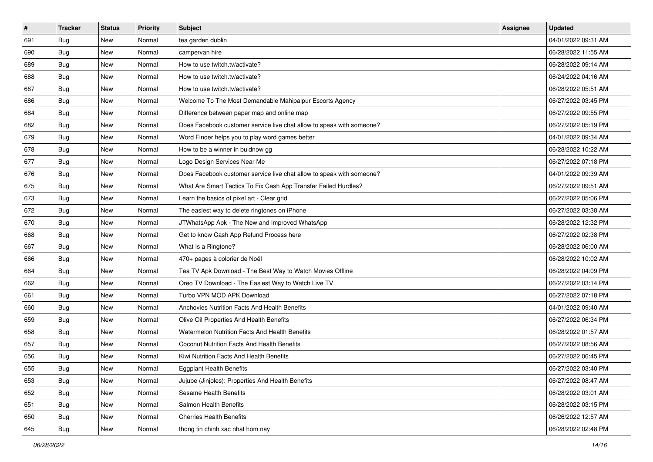| $\sharp$ | <b>Tracker</b> | <b>Status</b> | <b>Priority</b> | <b>Subject</b>                                                        | Assignee | <b>Updated</b>      |
|----------|----------------|---------------|-----------------|-----------------------------------------------------------------------|----------|---------------------|
| 691      | <b>Bug</b>     | New           | Normal          | tea garden dublin                                                     |          | 04/01/2022 09:31 AM |
| 690      | Bug            | New           | Normal          | campervan hire                                                        |          | 06/28/2022 11:55 AM |
| 689      | Bug            | New           | Normal          | How to use twitch.tv/activate?                                        |          | 06/28/2022 09:14 AM |
| 688      | <b>Bug</b>     | New           | Normal          | How to use twitch.tv/activate?                                        |          | 06/24/2022 04:16 AM |
| 687      | Bug            | New           | Normal          | How to use twitch.tv/activate?                                        |          | 06/28/2022 05:51 AM |
| 686      | <b>Bug</b>     | New           | Normal          | Welcome To The Most Demandable Mahipalpur Escorts Agency              |          | 06/27/2022 03:45 PM |
| 684      | Bug            | New           | Normal          | Difference between paper map and online map                           |          | 06/27/2022 09:55 PM |
| 682      | Bug            | New           | Normal          | Does Facebook customer service live chat allow to speak with someone? |          | 06/27/2022 05:19 PM |
| 679      | <b>Bug</b>     | New           | Normal          | Word Finder helps you to play word games better                       |          | 04/01/2022 09:34 AM |
| 678      | Bug            | New           | Normal          | How to be a winner in buidnow gg                                      |          | 06/28/2022 10:22 AM |
| 677      | <b>Bug</b>     | New           | Normal          | Logo Design Services Near Me                                          |          | 06/27/2022 07:18 PM |
| 676      | <b>Bug</b>     | New           | Normal          | Does Facebook customer service live chat allow to speak with someone? |          | 04/01/2022 09:39 AM |
| 675      | Bug            | New           | Normal          | What Are Smart Tactics To Fix Cash App Transfer Failed Hurdles?       |          | 06/27/2022 09:51 AM |
| 673      | <b>Bug</b>     | New           | Normal          | Learn the basics of pixel art - Clear grid                            |          | 06/27/2022 05:06 PM |
| 672      | Bug            | New           | Normal          | The easiest way to delete ringtones on iPhone                         |          | 06/27/2022 03:38 AM |
| 670      | Bug            | New           | Normal          | JTWhatsApp Apk - The New and Improved WhatsApp                        |          | 06/28/2022 12:32 PM |
| 668      | <b>Bug</b>     | New           | Normal          | Get to know Cash App Refund Process here                              |          | 06/27/2022 02:38 PM |
| 667      | Bug            | New           | Normal          | What Is a Ringtone?                                                   |          | 06/28/2022 06:00 AM |
| 666      | Bug            | New           | Normal          | 470+ pages à colorier de Noël                                         |          | 06/28/2022 10:02 AM |
| 664      | <b>Bug</b>     | New           | Normal          | Tea TV Apk Download - The Best Way to Watch Movies Offline            |          | 06/28/2022 04:09 PM |
| 662      | Bug            | New           | Normal          | Oreo TV Download - The Easiest Way to Watch Live TV                   |          | 06/27/2022 03:14 PM |
| 661      | <b>Bug</b>     | New           | Normal          | Turbo VPN MOD APK Download                                            |          | 06/27/2022 07:18 PM |
| 660      | Bug            | New           | Normal          | Anchovies Nutrition Facts And Health Benefits                         |          | 04/01/2022 09:40 AM |
| 659      | Bug            | New           | Normal          | Olive Oil Properties And Health Benefits                              |          | 06/27/2022 06:34 PM |
| 658      | Bug            | New           | Normal          | Watermelon Nutrition Facts And Health Benefits                        |          | 06/28/2022 01:57 AM |
| 657      | <b>Bug</b>     | New           | Normal          | Coconut Nutrition Facts And Health Benefits                           |          | 06/27/2022 08:56 AM |
| 656      | <b>Bug</b>     | New           | Normal          | Kiwi Nutrition Facts And Health Benefits                              |          | 06/27/2022 06:45 PM |
| 655      | i Bug          | New           | Normal          | <b>Eggplant Health Benefits</b>                                       |          | 06/27/2022 03:40 PM |
| 653      | Bug            | New           | Normal          | Jujube (Jinjoles): Properties And Health Benefits                     |          | 06/27/2022 08:47 AM |
| 652      | Bug            | New           | Normal          | Sesame Health Benefits                                                |          | 06/28/2022 03:01 AM |
| 651      | <b>Bug</b>     | New           | Normal          | Salmon Health Benefits                                                |          | 06/28/2022 03:15 PM |
| 650      | <b>Bug</b>     | New           | Normal          | <b>Cherries Health Benefits</b>                                       |          | 06/26/2022 12:57 AM |
| 645      | <b>Bug</b>     | New           | Normal          | thong tin chinh xac nhat hom nay                                      |          | 06/28/2022 02:48 PM |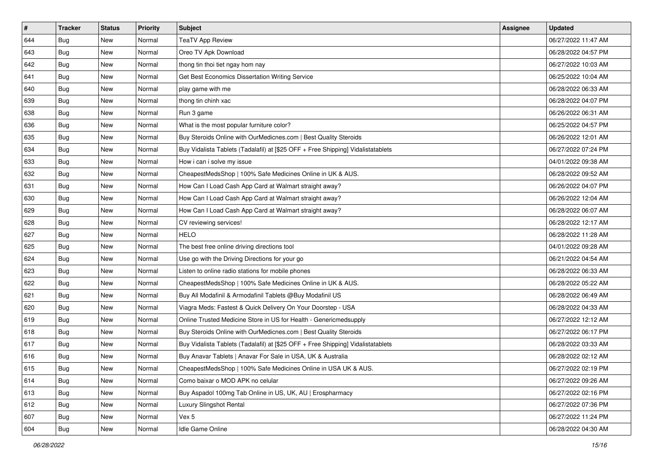| $\vert$ # | <b>Tracker</b> | <b>Status</b> | <b>Priority</b> | Subject                                                                          | Assignee | <b>Updated</b>      |
|-----------|----------------|---------------|-----------------|----------------------------------------------------------------------------------|----------|---------------------|
| 644       | <b>Bug</b>     | New           | Normal          | <b>TeaTV App Review</b>                                                          |          | 06/27/2022 11:47 AM |
| 643       | <b>Bug</b>     | New           | Normal          | Oreo TV Apk Download                                                             |          | 06/28/2022 04:57 PM |
| 642       | Bug            | New           | Normal          | thong tin thoi tiet ngay hom nay                                                 |          | 06/27/2022 10:03 AM |
| 641       | Bug            | New           | Normal          | Get Best Economics Dissertation Writing Service                                  |          | 06/25/2022 10:04 AM |
| 640       | Bug            | New           | Normal          | play game with me                                                                |          | 06/28/2022 06:33 AM |
| 639       | <b>Bug</b>     | New           | Normal          | thong tin chinh xac                                                              |          | 06/28/2022 04:07 PM |
| 638       | Bug            | New           | Normal          | Run 3 game                                                                       |          | 06/26/2022 06:31 AM |
| 636       | Bug            | New           | Normal          | What is the most popular furniture color?                                        |          | 06/25/2022 04:57 PM |
| 635       | Bug            | New           | Normal          | Buy Steroids Online with OurMedicnes.com   Best Quality Steroids                 |          | 06/26/2022 12:01 AM |
| 634       | Bug            | New           | Normal          | Buy Vidalista Tablets (Tadalafil) at [\$25 OFF + Free Shipping] Vidalistatablets |          | 06/27/2022 07:24 PM |
| 633       | <b>Bug</b>     | New           | Normal          | How i can i solve my issue                                                       |          | 04/01/2022 09:38 AM |
| 632       | Bug            | New           | Normal          | CheapestMedsShop   100% Safe Medicines Online in UK & AUS.                       |          | 06/28/2022 09:52 AM |
| 631       | Bug            | New           | Normal          | How Can I Load Cash App Card at Walmart straight away?                           |          | 06/26/2022 04:07 PM |
| 630       | <b>Bug</b>     | New           | Normal          | How Can I Load Cash App Card at Walmart straight away?                           |          | 06/26/2022 12:04 AM |
| 629       | Bug            | New           | Normal          | How Can I Load Cash App Card at Walmart straight away?                           |          | 06/28/2022 06:07 AM |
| 628       | Bug            | New           | Normal          | CV reviewing services!                                                           |          | 06/28/2022 12:17 AM |
| 627       | <b>Bug</b>     | New           | Normal          | <b>HELO</b>                                                                      |          | 06/28/2022 11:28 AM |
| 625       | Bug            | New           | Normal          | The best free online driving directions tool                                     |          | 04/01/2022 09:28 AM |
| 624       | Bug            | New           | Normal          | Use go with the Driving Directions for your go                                   |          | 06/21/2022 04:54 AM |
| 623       | Bug            | New           | Normal          | Listen to online radio stations for mobile phones                                |          | 06/28/2022 06:33 AM |
| 622       | <b>Bug</b>     | New           | Normal          | CheapestMedsShop   100% Safe Medicines Online in UK & AUS.                       |          | 06/28/2022 05:22 AM |
| 621       | Bug            | New           | Normal          | Buy All Modafinil & Armodafinil Tablets @Buy Modafinil US                        |          | 06/28/2022 06:49 AM |
| 620       | Bug            | New           | Normal          | Viagra Meds: Fastest & Quick Delivery On Your Doorstep - USA                     |          | 06/28/2022 04:33 AM |
| 619       | <b>Bug</b>     | New           | Normal          | Online Trusted Medicine Store in US for Health - Genericmedsupply                |          | 06/27/2022 12:12 AM |
| 618       | Bug            | New           | Normal          | Buy Steroids Online with OurMedicnes.com   Best Quality Steroids                 |          | 06/27/2022 06:17 PM |
| 617       | Bug            | New           | Normal          | Buy Vidalista Tablets (Tadalafil) at [\$25 OFF + Free Shipping] Vidalistatablets |          | 06/28/2022 03:33 AM |
| 616       | <b>Bug</b>     | New           | Normal          | Buy Anavar Tablets   Anavar For Sale in USA, UK & Australia                      |          | 06/28/2022 02:12 AM |
| 615       | Bug            | New           | Normal          | CheapestMedsShop   100% Safe Medicines Online in USA UK & AUS.                   |          | 06/27/2022 02:19 PM |
| 614       | Bug            | New           | Normal          | Como baixar o MOD APK no celular                                                 |          | 06/27/2022 09:26 AM |
| 613       | Bug            | New           | Normal          | Buy Aspadol 100mg Tab Online in US, UK, AU   Erospharmacy                        |          | 06/27/2022 02:16 PM |
| 612       | <b>Bug</b>     | New           | Normal          | Luxury Slingshot Rental                                                          |          | 06/27/2022 07:36 PM |
| 607       | <b>Bug</b>     | New           | Normal          | Vex 5                                                                            |          | 06/27/2022 11:24 PM |
| 604       | <b>Bug</b>     | New           | Normal          | Idle Game Online                                                                 |          | 06/28/2022 04:30 AM |